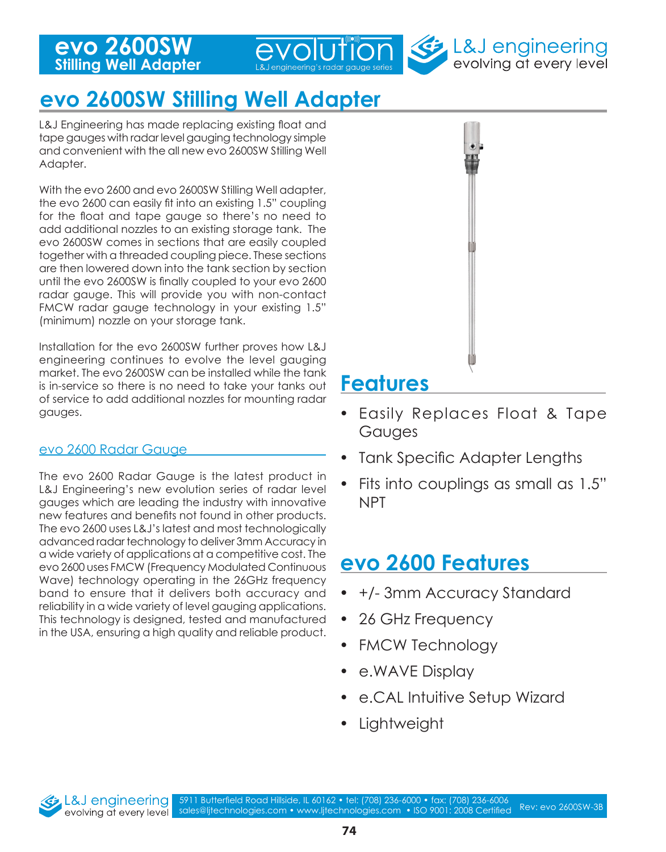

# **evo 2600SW Stilling Well Adapter**

L&J Engineering has made replacing existing float and tape gauges with radar level gauging technology simple and convenient with the all new evo 2600SW Stilling Well Adapter.

With the evo 2600 and evo 2600SW Stilling Well adapter, the evo 2600 can easily fit into an existing 1.5" coupling for the float and tape gauge so there's no need to add additional nozzles to an existing storage tank. The evo 2600SW comes in sections that are easily coupled together with a threaded coupling piece. These sections are then lowered down into the tank section by section until the evo 2600SW is finally coupled to your evo 2600 radar gauge. This will provide you with non-contact FMCW radar gauge technology in your existing 1.5" (minimum) nozzle on your storage tank.

Installation for the evo 2600SW further proves how L&J engineering continues to evolve the level gauging market. The evo 2600SW can be installed while the tank is in-service so there is no need to take your tanks out of service to add additional nozzles for mounting radar gauges.

#### evo 2600 Radar Gauge

The evo 2600 Radar Gauge is the latest product in L&J Engineering's new evolution series of radar level gauges which are leading the industry with innovative new features and benefits not found in other products. The evo 2600 uses L&J's latest and most technologically advanced radar technology to deliver 3mm Accuracy in a wide variety of applications at a competitive cost. The evo 2600 uses FMCW (Frequency Modulated Continuous Wave) technology operating in the 26GHz frequency band to ensure that it delivers both accuracy and reliability in a wide variety of level gauging applications. This technology is designed, tested and manufactured in the USA, ensuring a high quality and reliable product.



evolving at every level

- Easily Replaces Float & Tape Gauges
- Tank Specific Adapter Lengths
- Fits into couplings as small as 1.5" NPT

## **evo 2600 Features**

- +/- 3mm Accuracy Standard
- 26 GHz Frequency
- **FMCW Technology**
- e.WAVE Display
- e.CAL Intuitive Setup Wizard
- Lightweight